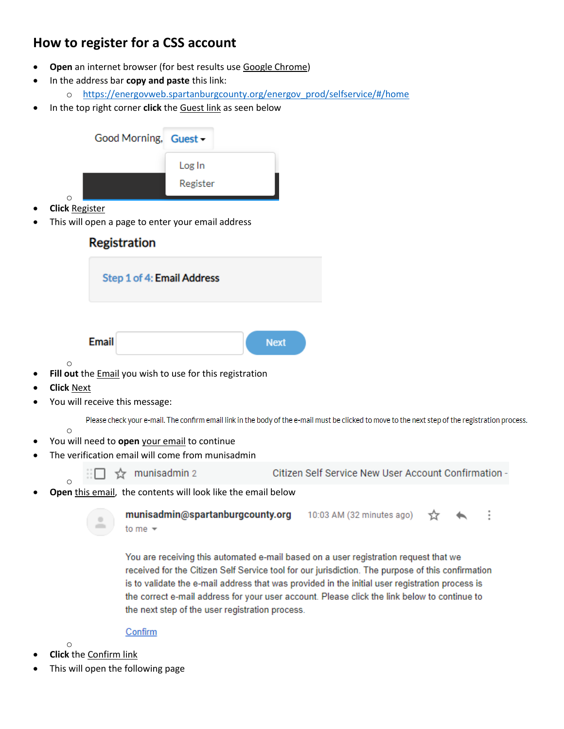## **How to register for a CSS account**

- **Open** an internet browser (for best results use Google Chrome)
- In the address bar **copy and paste** this link:
	- o [https://energovweb.spartanburgcounty.org/energov\\_prod/selfservice/#/home](https://energovweb.spartanburgcounty.org/energov_prod/selfservice/#/home)
- In the top right corner **click** the Guest link as seen below

| Good Morning, Guest -                                                                            |                                  |             |                                                                                                                                                  |  |  |
|--------------------------------------------------------------------------------------------------|----------------------------------|-------------|--------------------------------------------------------------------------------------------------------------------------------------------------|--|--|
| $\Omega$                                                                                         | Log In<br>Register               |             |                                                                                                                                                  |  |  |
| <b>Click Register</b><br>This will open a page to enter your email address                       |                                  |             |                                                                                                                                                  |  |  |
| <b>Registration</b>                                                                              |                                  |             |                                                                                                                                                  |  |  |
| Step 1 of 4: Email Address                                                                       |                                  |             |                                                                                                                                                  |  |  |
| <b>Email</b>                                                                                     |                                  | <b>Next</b> |                                                                                                                                                  |  |  |
| O<br>Fill out the Email you wish to use for this registration                                    |                                  |             |                                                                                                                                                  |  |  |
| <b>Click Next</b><br>You will receive this message:                                              |                                  |             |                                                                                                                                                  |  |  |
| $\circ$                                                                                          |                                  |             | Please check your e-mail. The confirm email link in the body of the e-mail must be clicked to move to the next step of the registration process. |  |  |
| You will need to open your email to continue<br>The verification email will come from munisadmin |                                  |             |                                                                                                                                                  |  |  |
| munisadmin 2<br>☆<br>$\Omega$                                                                    |                                  |             | Citizen Self Service New User Account Confirmation -                                                                                             |  |  |
| Open this email, the contents will look like the email below                                     |                                  |             |                                                                                                                                                  |  |  |
| $\equiv$<br>to me $\sim$                                                                         | munisadmin@spartanburgcounty.org |             | 10:03 AM (32 minutes ago)                                                                                                                        |  |  |

You are receiving this automated e-mail based on a user registration request that we received for the Citizen Self Service tool for our jurisdiction. The purpose of this confirmation is to validate the e-mail address that was provided in the initial user registration process is the correct e-mail address for your user account. Please click the link below to continue to the next step of the user registration process.

Confirm

- o
- **Click** the Confirm link
- This will open the following page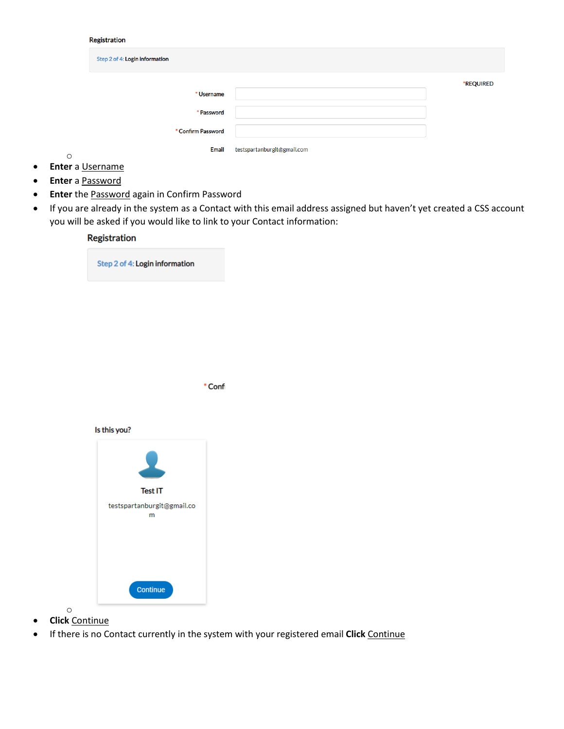## Registration

| Step 2 of 4: Login information |                             |           |
|--------------------------------|-----------------------------|-----------|
|                                |                             | *REQUIRED |
| * Username                     |                             |           |
| * Password                     |                             |           |
| * Confirm Password             |                             |           |
| <b>Email</b>                   | testspartanburgit@gmail.com |           |

- o • **Enter** a Username
- **Enter** a Password
- **Enter** the Password again in Confirm Password
- If you are already in the system as a Contact with this email address assigned but haven't yet created a CSS account you will be asked if you would like to link to your Contact information:

## Registration Step 2 of 4: Login information \* Confi Is this you? **Test IT** testspartanburgit@gmail.co  ${\sf m}$ Continue

- o • **Click** Continue
- If there is no Contact currently in the system with your registered email **Click** Continue